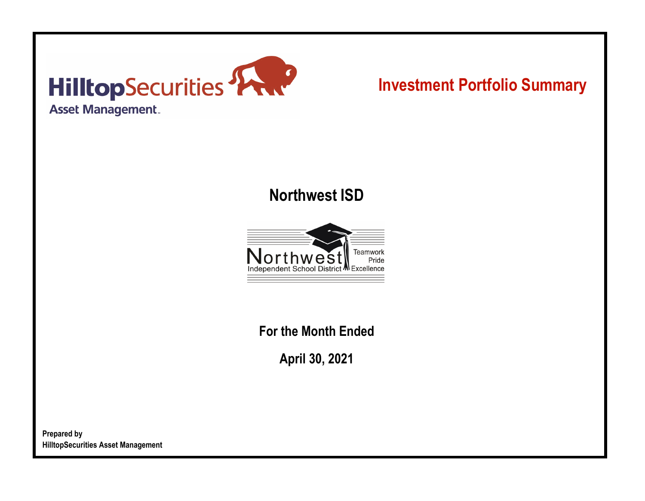

# **Investment Portfolio Summary**

## **Northwest ISD**



**For the Month Ended**

**April 30, 2021**

**Prepared by HilltopSecurities Asset Management**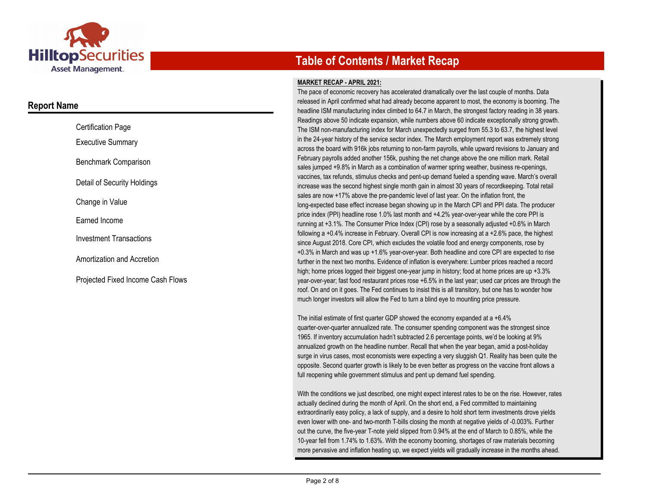

### **Report Name**

| <b>Certification Page</b>         |  |
|-----------------------------------|--|
| <b>Executive Summary</b>          |  |
| Benchmark Comparison              |  |
| Detail of Security Holdings       |  |
| Change in Value                   |  |
| Earned Income                     |  |
| <b>Investment Transactions</b>    |  |
| Amortization and Accretion        |  |
| Projected Fixed Income Cash Flows |  |

## **Table of Contents / Market Recap**

#### **MARKET RECAP - APRIL 2021:**

The pace of economic recovery has accelerated dramatically over the last couple of months. Data released in April confirmed what had already become apparent to most, the economy is booming. The headline ISM manufacturing index climbed to 64.7 in March, the strongest factory reading in 38 years. Readings above 50 indicate expansion, while numbers above 60 indicate exceptionally strong growth. The ISM non-manufacturing index for March unexpectedly surged from 55.3 to 63.7, the highest level in the 24-year history of the service sector index. The March employment report was extremely strong across the board with 916k jobs returning to non-farm payrolls, while upward revisions to January and February payrolls added another 156k, pushing the net change above the one million mark. Retail sales jumped +9.8% in March as a combination of warmer spring weather, business re-openings, vaccines, tax refunds, stimulus checks and pent-up demand fueled a spending wave. March's overall increase was the second highest single month gain in almost 30 years of recordkeeping. Total retail sales are now +17% above the pre-pandemic level of last year. On the inflation front, the long-expected base effect increase began showing up in the March CPI and PPI data. The producer price index (PPI) headline rose 1.0% last month and +4.2% year-over-year while the core PPI is running at +3.1%. The Consumer Price Index (CPI) rose by a seasonally adjusted +0.6% in March following a  $+0.4\%$  increase in February. Overall CPI is now increasing at a  $+2.6\%$  pace, the highest since August 2018. Core CPI, which excludes the volatile food and energy components, rose by +0.3% in March and was up +1.6% year-over-year. Both headline and core CPI are expected to rise further in the next two months. Evidence of inflation is everywhere: Lumber prices reached a record high; home prices logged their biggest one-year jump in history; food at home prices are up +3.3% year-over-year; fast food restaurant prices rose +6.5% in the last year; used car prices are through the roof. On and on it goes. The Fed continues to insist this is all transitory, but one has to wonder how much longer investors will allow the Fed to turn a blind eye to mounting price pressure.

The initial estimate of first quarter GDP showed the economy expanded at a +6.4% quarter-over-quarter annualized rate. The consumer spending component was the strongest since 1965. If inventory accumulation hadn't subtracted 2.6 percentage points, we'd be looking at 9% annualized growth on the headline number. Recall that when the year began, amid a post-holiday surge in virus cases, most economists were expecting a very sluggish Q1. Reality has been quite the opposite. Second quarter growth is likely to be even better as progress on the vaccine front allows a full reopening while government stimulus and pent up demand fuel spending.

With the conditions we just described, one might expect interest rates to be on the rise. However, rates actually declined during the month of April. On the short end, a Fed committed to maintaining extraordinarily easy policy, a lack of supply, and a desire to hold short term investments drove yields even lower with one- and two-month T-bills closing the month at negative yields of -0.003%. Further out the curve, the five-year T-note yield slipped from 0.94% at the end of March to 0.85%, while the 10-year fell from 1.74% to 1.63%. With the economy booming, shortages of raw materials becoming more pervasive and inflation heating up, we expect yields will gradually increase in the months ahead.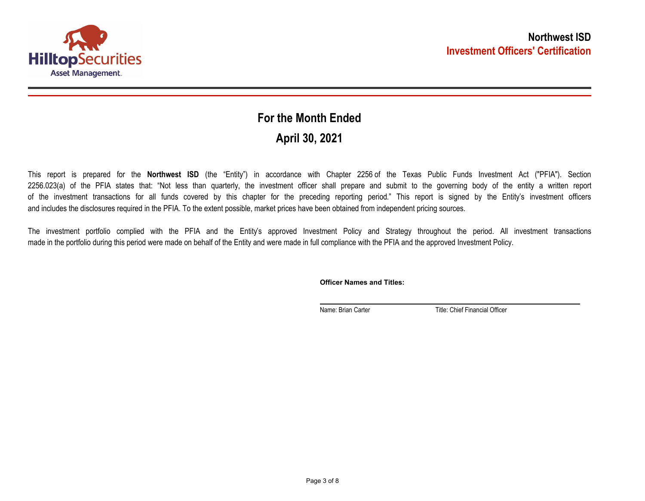

## **April 30, 2021 For the Month Ended**

This report is prepared for the **Northwest ISD** (the "Entity") in accordance with Chapter 2256 of the Texas Public Funds Investment Act ("PFIA"). Section 2256.023(a) of the PFIA states that: "Not less than quarterly, the investment officer shall prepare and submit to the governing body of the entity a written report of the investment transactions for all funds covered by this chapter for the preceding reporting period." This report is signed by the Entity's investment officers and includes the disclosures required in the PFIA. To the extent possible, market prices have been obtained from independent pricing sources.

The investment portfolio complied with the PFIA and the Entity's approved Investment Policy and Strategy throughout the period. All investment transactions made in the portfolio during this period were made on behalf of the Entity and were made in full compliance with the PFIA and the approved Investment Policy.

**Officer Names and Titles:**

Name: Brian Carter Title: Chief Financial Officer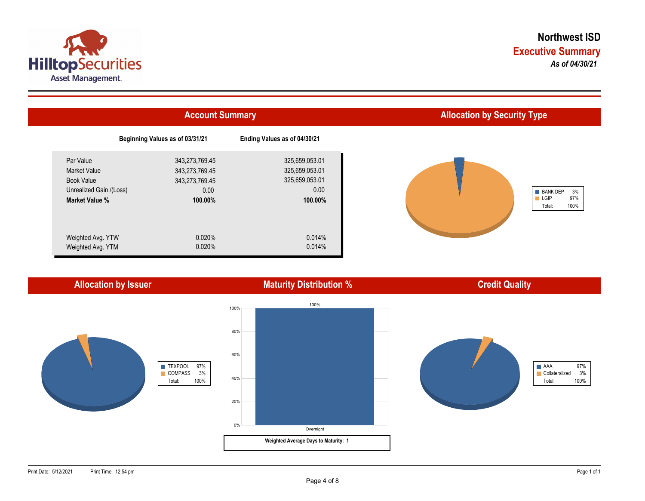



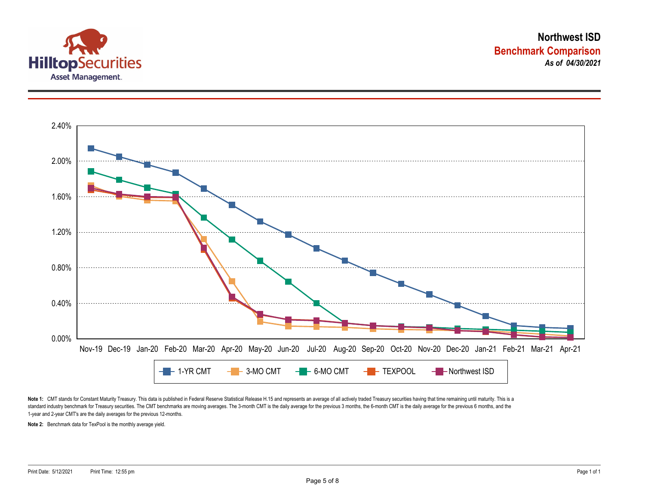



Note 1: CMT stands for Constant Maturity Treasury. This data is published in Federal Reserve Statistical Release H.15 and represents an average of all actively traded Treasury securities having that time remaining until ma standard industry benchmark for Treasury securities. The CMT benchmarks are moving averages. The 3-month CMT is the daily average for the previous 3 months, the 6-month CMT is the daily average for the previous 6 months, a 1-year and 2-year CMT's are the daily averages for the previous 12-months.

**Note 2:** Benchmark data for TexPool is the monthly average yield.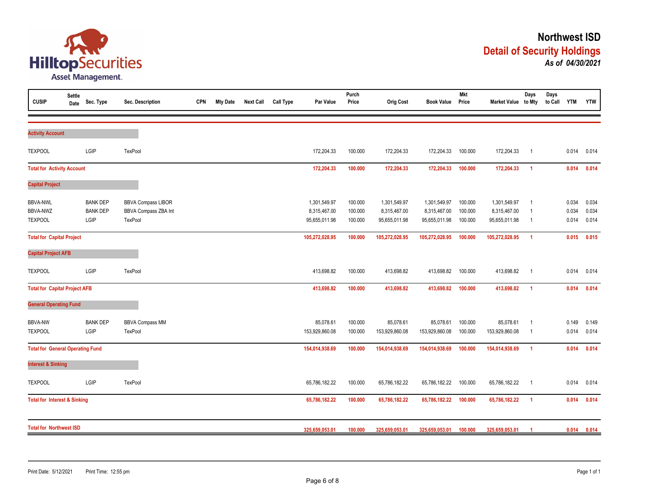

| <b>CUSIP</b>                                         | <b>Settle</b><br>Date | Sec. Type                                  | Sec. Description                                             | <b>CPN</b> | <b>Mty Date</b> | <b>Next Call</b> | <b>Call Type</b> | Par Value                                     | Purch<br>Price                | <b>Orig Cost</b>                              | <b>Book Value</b>                             | <b>Mkt</b><br>Price           | Market Value to Mty                           | Days                                               | Days<br>to Call | <b>YTM</b>              | <b>YTW</b>              |
|------------------------------------------------------|-----------------------|--------------------------------------------|--------------------------------------------------------------|------------|-----------------|------------------|------------------|-----------------------------------------------|-------------------------------|-----------------------------------------------|-----------------------------------------------|-------------------------------|-----------------------------------------------|----------------------------------------------------|-----------------|-------------------------|-------------------------|
| <b>Activity Account</b>                              |                       |                                            |                                                              |            |                 |                  |                  |                                               |                               |                                               |                                               |                               |                                               |                                                    |                 |                         |                         |
| <b>TEXPOOL</b>                                       |                       | LGIP                                       | TexPool                                                      |            |                 |                  |                  | 172,204.33                                    | 100.000                       | 172,204.33                                    | 172,204.33                                    | 100.000                       | 172,204.33                                    | $\overline{1}$                                     |                 | 0.014                   | 0.014                   |
| <b>Total for Activity Account</b>                    |                       |                                            |                                                              |            |                 |                  |                  | 172,204.33                                    | 100.000                       | 172,204.33                                    | 172,204.33                                    | 100.000                       | 172,204.33                                    | $\overline{1}$                                     |                 | 0.014                   | 0.014                   |
| <b>Capital Project</b>                               |                       |                                            |                                                              |            |                 |                  |                  |                                               |                               |                                               |                                               |                               |                                               |                                                    |                 |                         |                         |
| <b>BBVA-NWL</b><br><b>BBVA-NWZ</b><br><b>TEXPOOL</b> |                       | <b>BANK DEP</b><br><b>BANK DEP</b><br>LGIP | <b>BBVA Compass LIBOR</b><br>BBVA Compass ZBA Int<br>TexPool |            |                 |                  |                  | 1,301,549.97<br>8,315,467.00<br>95,655,011.98 | 100.000<br>100.000<br>100.000 | 1,301,549.97<br>8,315,467.00<br>95,655,011.98 | 1,301,549.97<br>8,315,467.00<br>95,655,011.98 | 100.000<br>100.000<br>100.000 | 1,301,549.97<br>8,315,467.00<br>95,655,011.98 | $\overline{1}$<br>$\overline{1}$<br>$\overline{1}$ |                 | 0.034<br>0.034<br>0.014 | 0.034<br>0.034<br>0.014 |
| <b>Total for Capital Project</b>                     |                       |                                            |                                                              |            |                 |                  |                  | 105,272,028.95                                | 100.000                       | 105,272,028.95                                | 105,272,028.95                                | 100.000                       | 105,272,028.95                                | $\overline{1}$                                     |                 | 0.015                   | 0.015                   |
| <b>Capital Project AFB</b>                           |                       |                                            |                                                              |            |                 |                  |                  |                                               |                               |                                               |                                               |                               |                                               |                                                    |                 |                         |                         |
| <b>TEXPOOL</b>                                       |                       | LGIP                                       | TexPool                                                      |            |                 |                  |                  | 413,698.82                                    | 100.000                       | 413,698.82                                    | 413,698.82                                    | 100.000                       | 413,698.82                                    | $\overline{1}$                                     |                 | 0.014                   | 0.014                   |
| <b>Total for Capital Project AFB</b>                 |                       |                                            |                                                              |            |                 |                  |                  | 413,698.82                                    | 100.000                       | 413,698.82                                    | 413,698.82                                    | 100.000                       | 413,698.82                                    | $\overline{1}$                                     |                 | 0.014                   | 0.014                   |
| <b>General Operating Fund</b>                        |                       |                                            |                                                              |            |                 |                  |                  |                                               |                               |                                               |                                               |                               |                                               |                                                    |                 |                         |                         |
| <b>BBVA-NW</b><br><b>TEXPOOL</b>                     |                       | <b>BANK DEP</b><br>LGIP                    | <b>BBVA Compass MM</b><br>TexPool                            |            |                 |                  |                  | 85,078.61<br>153,929,860.08                   | 100.000<br>100.000            | 85,078.61<br>153,929,860.08                   | 85,078.61<br>153,929,860.08                   | 100.000<br>100.000            | 85,078.61<br>153,929,860.08                   | $\overline{1}$<br>- 1                              |                 | 0.149<br>0.014          | 0.149<br>0.014          |
| <b>Total for General Operating Fund</b>              |                       |                                            |                                                              |            |                 |                  |                  | 154,014,938.69                                | 100.000                       | 154,014,938.69                                | 154,014,938.69                                | 100.000                       | 154,014,938.69                                | $\overline{1}$                                     |                 | 0.014                   | 0.014                   |
| <b>Interest &amp; Sinking</b>                        |                       |                                            |                                                              |            |                 |                  |                  |                                               |                               |                                               |                                               |                               |                                               |                                                    |                 |                         |                         |
| <b>TEXPOOL</b>                                       |                       | LGIP                                       | TexPool                                                      |            |                 |                  |                  | 65,786,182.22                                 | 100.000                       | 65,786,182.22                                 | 65,786,182.22                                 | 100.000                       | 65,786,182.22                                 | $\overline{1}$                                     |                 | 0.014                   | 0.014                   |
| <b>Total for Interest &amp; Sinking</b>              |                       |                                            |                                                              |            |                 |                  |                  | 65,786,182.22                                 | 100.000                       | 65,786,182.22                                 | 65,786,182.22                                 | 100.000                       | 65,786,182.22                                 | $\overline{1}$                                     |                 | 0.014                   | 0.014                   |
| <b>Total for Northwest ISD</b>                       |                       |                                            |                                                              |            |                 |                  |                  | 325,659,053.01                                | 100.000                       | 325,659,053.01                                | 325,659,053.01                                | 100.000                       | 325,659,053.01                                | -1                                                 |                 | 0.014                   | 0.014                   |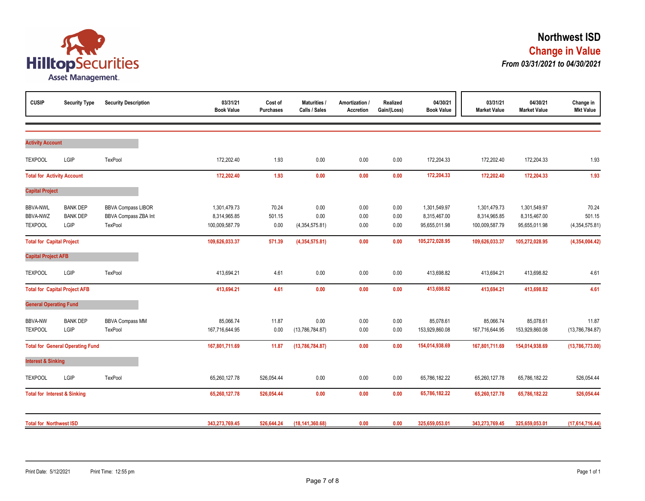

| <b>CUSIP</b>                                         | <b>Security Type</b>                       | <b>Security Description</b>                                  | 03/31/21<br><b>Book Value</b>                  | Cost of<br><b>Purchases</b> | Maturities /<br>Calls / Sales  | Amortization /<br>Accretion | Realized<br>Gain/(Loss) | 04/30/21<br><b>Book Value</b>                 | 03/31/21<br><b>Market Value</b>                | 04/30/21<br><b>Market Value</b>               | Change in<br><b>Mkt Value</b>     |
|------------------------------------------------------|--------------------------------------------|--------------------------------------------------------------|------------------------------------------------|-----------------------------|--------------------------------|-----------------------------|-------------------------|-----------------------------------------------|------------------------------------------------|-----------------------------------------------|-----------------------------------|
| <b>Activity Account</b>                              |                                            |                                                              |                                                |                             |                                |                             |                         |                                               |                                                |                                               |                                   |
| <b>TEXPOOL</b>                                       | LGIP                                       | TexPool                                                      | 172,202.40                                     | 1.93                        | 0.00                           | 0.00                        | 0.00                    | 172,204.33                                    | 172,202.40                                     | 172,204.33                                    | 1.93                              |
| <b>Total for Activity Account</b>                    |                                            |                                                              | 172,202.40                                     | 1.93                        | 0.00                           | 0.00                        | 0.00                    | 172,204.33                                    | 172,202.40                                     | 172,204.33                                    | 1.93                              |
| <b>Capital Project</b>                               |                                            |                                                              |                                                |                             |                                |                             |                         |                                               |                                                |                                               |                                   |
| <b>BBVA-NWL</b><br><b>BBVA-NWZ</b><br><b>TEXPOOL</b> | <b>BANK DEP</b><br><b>BANK DEP</b><br>LGIP | <b>BBVA Compass LIBOR</b><br>BBVA Compass ZBA Int<br>TexPool | 1,301,479.73<br>8,314,965.85<br>100,009,587.79 | 70.24<br>501.15<br>0.00     | 0.00<br>0.00<br>(4,354,575.81) | 0.00<br>0.00<br>0.00        | 0.00<br>0.00<br>0.00    | 1,301,549.97<br>8,315,467.00<br>95,655,011.98 | 1,301,479.73<br>8,314,965.85<br>100,009,587.79 | 1,301,549.97<br>8,315,467.00<br>95,655,011.98 | 70.24<br>501.15<br>(4,354,575.81) |
| <b>Total for Capital Project</b>                     |                                            |                                                              | 109,626,033.37                                 | 571.39                      | (4,354,575.81)                 | 0.00                        | 0.00                    | 105,272,028.95                                | 109,626,033.37                                 | 105,272,028.95                                | (4,354,004.42)                    |
| <b>Capital Project AFB</b>                           |                                            |                                                              |                                                |                             |                                |                             |                         |                                               |                                                |                                               |                                   |
| <b>TEXPOOL</b>                                       | LGIP                                       | TexPool                                                      | 413,694.21                                     | 4.61                        | 0.00                           | 0.00                        | 0.00                    | 413,698.82                                    | 413,694.21                                     | 413,698.82                                    | 4.61                              |
|                                                      | <b>Total for Capital Project AFB</b>       |                                                              | 413,694.21                                     | 4.61                        | 0.00                           | 0.00                        | 0.00                    | 413,698.82                                    | 413,694.21                                     | 413,698.82                                    | 4.61                              |
| <b>General Operating Fund</b>                        |                                            |                                                              |                                                |                             |                                |                             |                         |                                               |                                                |                                               |                                   |
| <b>BBVA-NW</b><br><b>TEXPOOL</b>                     | <b>BANK DEP</b><br>LGIP                    | <b>BBVA Compass MM</b><br>TexPool                            | 85,066.74<br>167,716,644.95                    | 11.87<br>0.00               | 0.00<br>(13,786,784.87)        | 0.00<br>0.00                | 0.00<br>0.00            | 85,078.61<br>153,929,860.08                   | 85,066.74<br>167,716,644.95                    | 85,078.61<br>153,929,860.08                   | 11.87<br>(13,786,784.87)          |
|                                                      | <b>Total for General Operating Fund</b>    |                                                              | 167,801,711.69                                 | 11.87                       | (13,786,784.87)                | 0.00                        | 0.00                    | 154,014,938.69                                | 167,801,711.69                                 | 154,014,938.69                                | (13,786,773.00)                   |
| <b>Interest &amp; Sinking</b>                        |                                            |                                                              |                                                |                             |                                |                             |                         |                                               |                                                |                                               |                                   |
| <b>TEXPOOL</b>                                       | LGIP                                       | TexPool                                                      | 65,260,127.78                                  | 526,054.44                  | 0.00                           | 0.00                        | 0.00                    | 65,786,182.22                                 | 65,260,127.78                                  | 65,786,182.22                                 | 526,054.44                        |
| <b>Total for Interest &amp; Sinking</b>              |                                            |                                                              | 65,260,127.78                                  | 526,054.44                  | 0.00                           | 0.00                        | 0.00                    | 65,786,182.22                                 | 65,260,127.78                                  | 65,786,182.22                                 | 526,054.44                        |
| <b>Total for Northwest ISD</b>                       |                                            |                                                              | 343,273,769.45                                 | 526,644.24                  | (18, 141, 360.68)              | 0.00                        | 0.00                    | 325,659,053.01                                | 343,273,769.45                                 | 325,659,053.01                                | (17,614,716.44)                   |